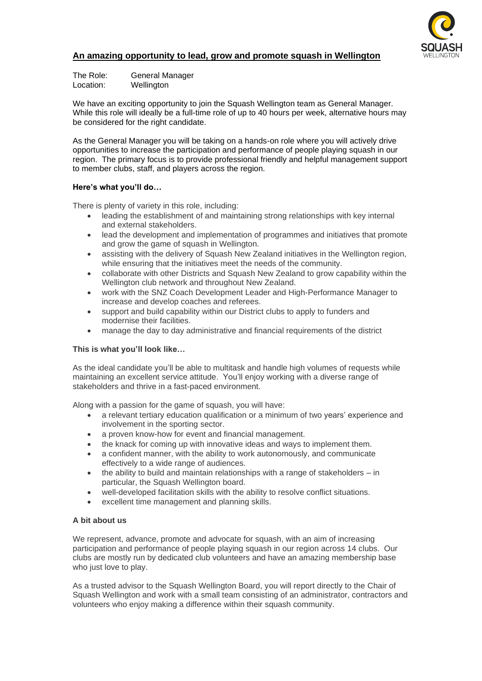

# **An amazing opportunity to lead, grow and promote squash in Wellington**

The Role: General Manager Location: Wellington

We have an exciting opportunity to join the Squash Wellington team as General Manager. While this role will ideally be a full-time role of up to 40 hours per week, alternative hours may be considered for the right candidate.

As the General Manager you will be taking on a hands-on role where you will actively drive opportunities to increase the participation and performance of people playing squash in our region. The primary focus is to provide professional friendly and helpful management support to member clubs, staff, and players across the region.

## **Here's what you'll do…**

There is plenty of variety in this role, including:

- leading the establishment of and maintaining strong relationships with key internal and external stakeholders.
- lead the development and implementation of programmes and initiatives that promote and grow the game of squash in Wellington.
- assisting with the delivery of Squash New Zealand initiatives in the Wellington region, while ensuring that the initiatives meet the needs of the community.
- collaborate with other Districts and Squash New Zealand to grow capability within the Wellington club network and throughout New Zealand.
- work with the SNZ Coach Development Leader and High-Performance Manager to increase and develop coaches and referees.
- support and build capability within our District clubs to apply to funders and modernise their facilities.
- manage the day to day administrative and financial requirements of the district

### **This is what you'll look like…**

As the ideal candidate you'll be able to multitask and handle high volumes of requests while maintaining an excellent service attitude. You'll enjoy working with a diverse range of stakeholders and thrive in a fast-paced environment.

Along with a passion for the game of squash, you will have:

- a relevant tertiary education qualification or a minimum of two years' experience and involvement in the sporting sector.
- a proven know-how for event and financial management.
- the knack for coming up with innovative ideas and ways to implement them.
- a confident manner, with the ability to work autonomously, and communicate effectively to a wide range of audiences.
- the ability to build and maintain relationships with a range of stakeholders in particular, the Squash Wellington board.
- well-developed facilitation skills with the ability to resolve conflict situations.
- excellent time management and planning skills.

### **A bit about us**

We represent, advance, promote and advocate for squash, with an aim of increasing participation and performance of people playing squash in our region across 14 clubs. Our clubs are mostly run by dedicated club volunteers and have an amazing membership base who just love to play.

As a trusted advisor to the Squash Wellington Board, you will report directly to the Chair of Squash Wellington and work with a small team consisting of an administrator, contractors and volunteers who enjoy making a difference within their squash community.